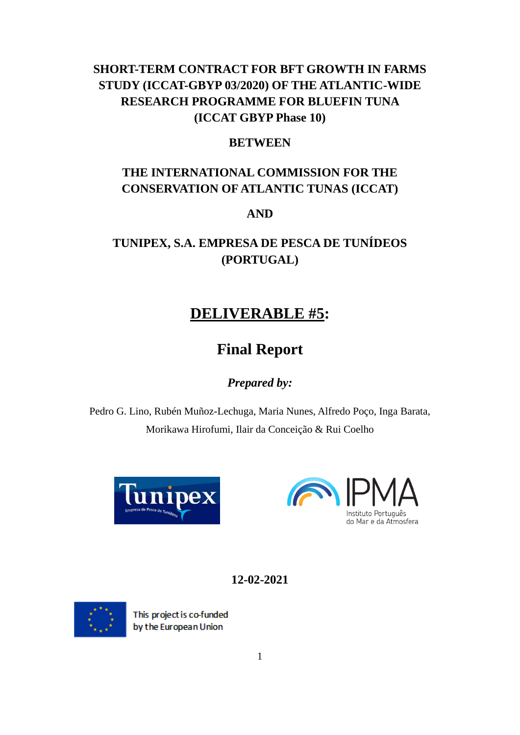### **SHORT-TERM CONTRACT FOR BFT GROWTH IN FARMS STUDY (ICCAT-GBYP 03/2020) OF THE ATLANTIC-WIDE RESEARCH PROGRAMME FOR BLUEFIN TUNA (ICCAT GBYP Phase 10)**

#### **BETWEEN**

# **THE INTERNATIONAL COMMISSION FOR THE CONSERVATION OF ATLANTIC TUNAS (ICCAT)**

#### **AND**

# **TUNIPEX, S.A. EMPRESA DE PESCA DE TUNÍDEOS (PORTUGAL)**

# **DELIVERABLE #5:**

# **Final Report**

#### *Prepared by:*

Pedro G. Lino, Rubén Muñoz-Lechuga, Maria Nunes, Alfredo Poço, Inga Barata, Morikawa Hirofumi, Ilair da Conceição & Rui Coelho





**12-02-2021**



This project is co-funded by the European Union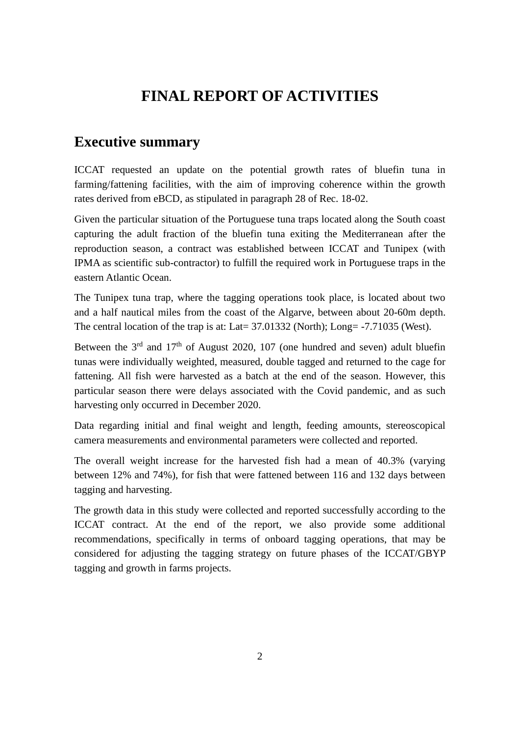# **FINAL REPORT OF ACTIVITIES**

### **Executive summary**

ICCAT requested an update on the potential growth rates of bluefin tuna in farming/fattening facilities, with the aim of improving coherence within the growth rates derived from eBCD, as stipulated in paragraph 28 of Rec. 18-02.

Given the particular situation of the Portuguese tuna traps located along the South coast capturing the adult fraction of the bluefin tuna exiting the Mediterranean after the reproduction season, a contract was established between ICCAT and Tunipex (with IPMA as scientific sub-contractor) to fulfill the required work in Portuguese traps in the eastern Atlantic Ocean.

The Tunipex tuna trap, where the tagging operations took place, is located about two and a half nautical miles from the coast of the Algarve, between about 20-60m depth. The central location of the trap is at: Lat= 37.01332 (North); Long= -7.71035 (West).

Between the  $3<sup>rd</sup>$  and  $17<sup>th</sup>$  of August 2020, 107 (one hundred and seven) adult bluefin tunas were individually weighted, measured, double tagged and returned to the cage for fattening. All fish were harvested as a batch at the end of the season. However, this particular season there were delays associated with the Covid pandemic, and as such harvesting only occurred in December 2020.

Data regarding initial and final weight and length, feeding amounts, stereoscopical camera measurements and environmental parameters were collected and reported.

The overall weight increase for the harvested fish had a mean of 40.3% (varying between 12% and 74%), for fish that were fattened between 116 and 132 days between tagging and harvesting.

The growth data in this study were collected and reported successfully according to the ICCAT contract. At the end of the report, we also provide some additional recommendations, specifically in terms of onboard tagging operations, that may be considered for adjusting the tagging strategy on future phases of the ICCAT/GBYP tagging and growth in farms projects.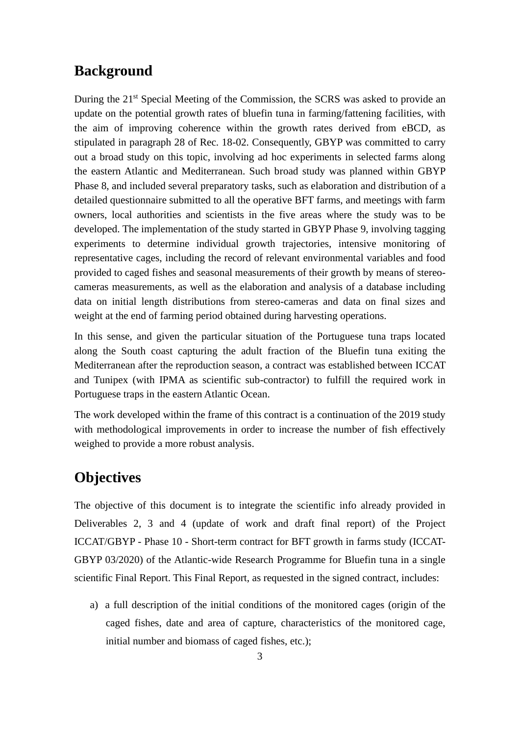#### **Background**

During the 21st Special Meeting of the Commission, the SCRS was asked to provide an update on the potential growth rates of bluefin tuna in farming/fattening facilities, with the aim of improving coherence within the growth rates derived from eBCD, as stipulated in paragraph 28 of Rec. 18-02. Consequently, GBYP was committed to carry out a broad study on this topic, involving ad hoc experiments in selected farms along the eastern Atlantic and Mediterranean. Such broad study was planned within GBYP Phase 8, and included several preparatory tasks, such as elaboration and distribution of a detailed questionnaire submitted to all the operative BFT farms, and meetings with farm owners, local authorities and scientists in the five areas where the study was to be developed. The implementation of the study started in GBYP Phase 9, involving tagging experiments to determine individual growth trajectories, intensive monitoring of representative cages, including the record of relevant environmental variables and food provided to caged fishes and seasonal measurements of their growth by means of stereocameras measurements, as well as the elaboration and analysis of a database including data on initial length distributions from stereo-cameras and data on final sizes and weight at the end of farming period obtained during harvesting operations.

In this sense, and given the particular situation of the Portuguese tuna traps located along the South coast capturing the adult fraction of the Bluefin tuna exiting the Mediterranean after the reproduction season, a contract was established between ICCAT and Tunipex (with IPMA as scientific sub-contractor) to fulfill the required work in Portuguese traps in the eastern Atlantic Ocean.

The work developed within the frame of this contract is a continuation of the 2019 study with methodological improvements in order to increase the number of fish effectively weighed to provide a more robust analysis.

# **Objectives**

The objective of this document is to integrate the scientific info already provided in Deliverables 2, 3 and 4 (update of work and draft final report) of the Project ICCAT/GBYP - Phase 10 - Short-term contract for BFT growth in farms study (ICCAT-GBYP 03/2020) of the Atlantic-wide Research Programme for Bluefin tuna in a single scientific Final Report. This Final Report, as requested in the signed contract, includes:

a) a full description of the initial conditions of the monitored cages (origin of the caged fishes, date and area of capture, characteristics of the monitored cage, initial number and biomass of caged fishes, etc.);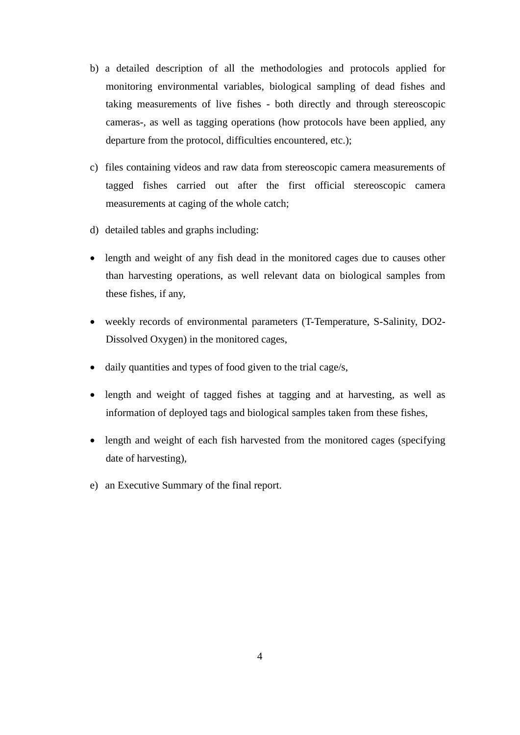- b) a detailed description of all the methodologies and protocols applied for monitoring environmental variables, biological sampling of dead fishes and taking measurements of live fishes - both directly and through stereoscopic cameras-, as well as tagging operations (how protocols have been applied, any departure from the protocol, difficulties encountered, etc.);
- c) files containing videos and raw data from stereoscopic camera measurements of tagged fishes carried out after the first official stereoscopic camera measurements at caging of the whole catch;
- d) detailed tables and graphs including:
- length and weight of any fish dead in the monitored cages due to causes other than harvesting operations, as well relevant data on biological samples from these fishes, if any,
- weekly records of environmental parameters (T-Temperature, S-Salinity, DO2- Dissolved Oxygen) in the monitored cages,
- daily quantities and types of food given to the trial cage/s,
- length and weight of tagged fishes at tagging and at harvesting, as well as information of deployed tags and biological samples taken from these fishes,
- length and weight of each fish harvested from the monitored cages (specifying date of harvesting),
- e) an Executive Summary of the final report.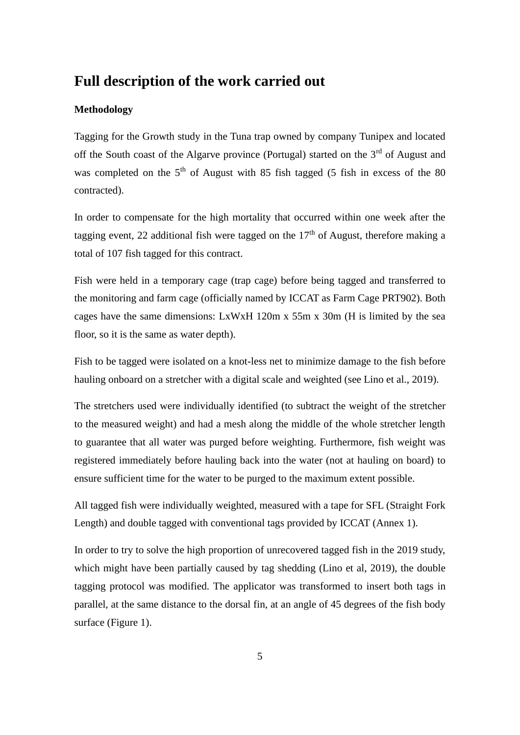#### **Full description of the work carried out**

#### **Methodology**

Tagging for the Growth study in the Tuna trap owned by company Tunipex and located off the South coast of the Algarve province (Portugal) started on the 3<sup>rd</sup> of August and was completed on the  $5<sup>th</sup>$  of August with 85 fish tagged (5 fish in excess of the 80 contracted).

In order to compensate for the high mortality that occurred within one week after the tagging event, 22 additional fish were tagged on the  $17<sup>th</sup>$  of August, therefore making a total of 107 fish tagged for this contract.

Fish were held in a temporary cage (trap cage) before being tagged and transferred to the monitoring and farm cage (officially named by ICCAT as Farm Cage PRT902). Both cages have the same dimensions: LxWxH 120m x 55m x 30m (H is limited by the sea floor, so it is the same as water depth).

Fish to be tagged were isolated on a knot-less net to minimize damage to the fish before hauling onboard on a stretcher with a digital scale and weighted (see Lino et al., 2019).

The stretchers used were individually identified (to subtract the weight of the stretcher to the measured weight) and had a mesh along the middle of the whole stretcher length to guarantee that all water was purged before weighting. Furthermore, fish weight was registered immediately before hauling back into the water (not at hauling on board) to ensure sufficient time for the water to be purged to the maximum extent possible.

All tagged fish were individually weighted, measured with a tape for SFL (Straight Fork Length) and double tagged with conventional tags provided by ICCAT (Annex 1).

In order to try to solve the high proportion of unrecovered tagged fish in the 2019 study, which might have been partially caused by tag shedding (Lino et al, 2019), the double tagging protocol was modified. The applicator was transformed to insert both tags in parallel, at the same distance to the dorsal fin, at an angle of 45 degrees of the fish body surface (Figure 1).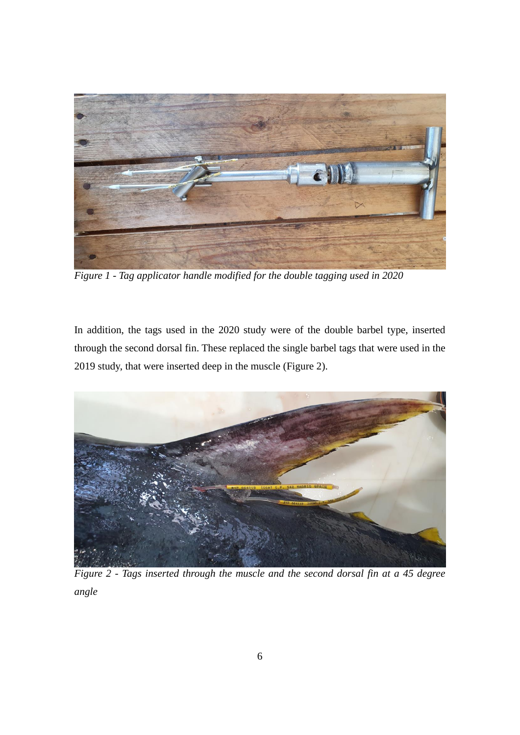

*Figure 1 - Tag applicator handle modified for the double tagging used in 2020*

In addition, the tags used in the 2020 study were of the double barbel type, inserted through the second dorsal fin. These replaced the single barbel tags that were used in the 2019 study, that were inserted deep in the muscle (Figure 2).



*Figure 2 - Tags inserted through the muscle and the second dorsal fin at a 45 degree angle*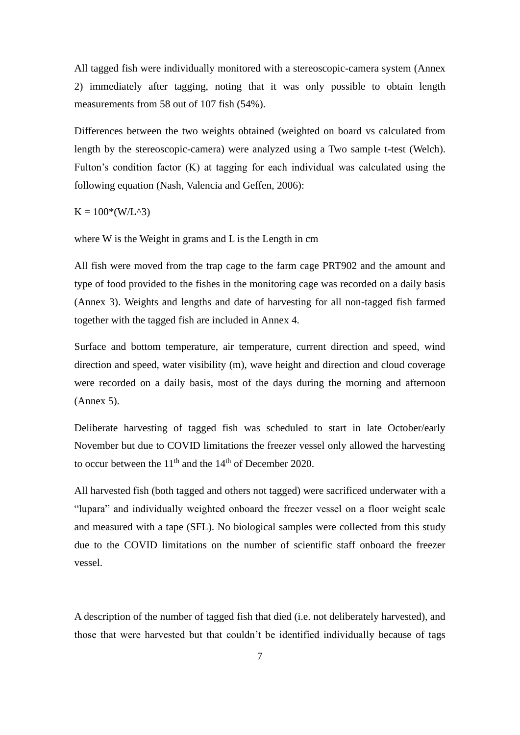All tagged fish were individually monitored with a stereoscopic-camera system (Annex 2) immediately after tagging, noting that it was only possible to obtain length measurements from 58 out of 107 fish (54%).

Differences between the two weights obtained (weighted on board vs calculated from length by the stereoscopic-camera) were analyzed using a Two sample t-test (Welch). Fulton's condition factor (K) at tagging for each individual was calculated using the following equation (Nash, Valencia and Geffen, 2006):

 $K = 100*(W/L^{3})$ 

where W is the Weight in grams and L is the Length in cm

All fish were moved from the trap cage to the farm cage PRT902 and the amount and type of food provided to the fishes in the monitoring cage was recorded on a daily basis (Annex 3). Weights and lengths and date of harvesting for all non-tagged fish farmed together with the tagged fish are included in Annex 4.

Surface and bottom temperature, air temperature, current direction and speed, wind direction and speed, water visibility (m), wave height and direction and cloud coverage were recorded on a daily basis, most of the days during the morning and afternoon (Annex 5).

Deliberate harvesting of tagged fish was scheduled to start in late October/early November but due to COVID limitations the freezer vessel only allowed the harvesting to occur between the  $11<sup>th</sup>$  and the  $14<sup>th</sup>$  of December 2020.

All harvested fish (both tagged and others not tagged) were sacrificed underwater with a "lupara" and individually weighted onboard the freezer vessel on a floor weight scale and measured with a tape (SFL). No biological samples were collected from this study due to the COVID limitations on the number of scientific staff onboard the freezer vessel.

A description of the number of tagged fish that died (i.e. not deliberately harvested), and those that were harvested but that couldn't be identified individually because of tags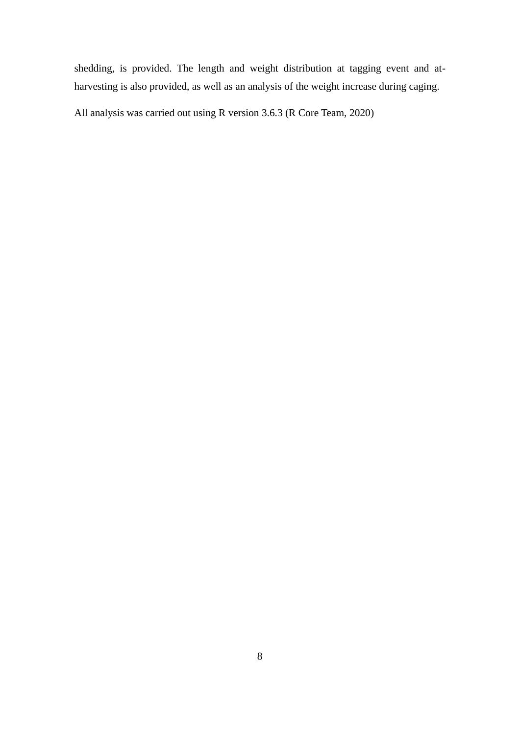shedding, is provided. The length and weight distribution at tagging event and atharvesting is also provided, as well as an analysis of the weight increase during caging.

All analysis was carried out using R version 3.6.3 (R Core Team, 2020)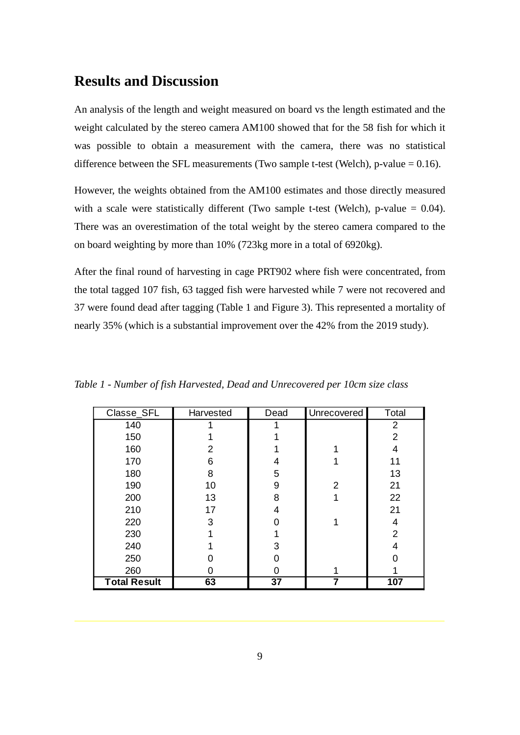### **Results and Discussion**

An analysis of the length and weight measured on board vs the length estimated and the weight calculated by the stereo camera AM100 showed that for the 58 fish for which it was possible to obtain a measurement with the camera, there was no statistical difference between the SFL measurements (Two sample t-test (Welch), p-value  $= 0.16$ ).

However, the weights obtained from the AM100 estimates and those directly measured with a scale were statistically different (Two sample t-test (Welch), p-value  $= 0.04$ ). There was an overestimation of the total weight by the stereo camera compared to the on board weighting by more than 10% (723kg more in a total of 6920kg).

After the final round of harvesting in cage PRT902 where fish were concentrated, from the total tagged 107 fish, 63 tagged fish were harvested while 7 were not recovered and 37 were found dead after tagging (Table 1 and Figure 3). This represented a mortality of nearly 35% (which is a substantial improvement over the 42% from the 2019 study).

| Classe_SFL          | Harvested | Dead            | Unrecovered    | Total |
|---------------------|-----------|-----------------|----------------|-------|
| 140                 |           |                 |                | 2     |
| 150                 |           |                 |                | 2     |
| 160                 | 2         |                 |                | 4     |
| 170                 | 6         | 4               |                | 11    |
| 180                 | 8         | 5               |                | 13    |
| 190                 | 10        | 9               | $\overline{2}$ | 21    |
| 200                 | 13        | 8               |                | 22    |
| 210                 | 17        | 4               |                | 21    |
| 220                 | 3         | ∩               |                | 4     |
| 230                 |           |                 |                | 2     |
| 240                 |           | 3               |                | 4     |
| 250                 |           |                 |                |       |
| 260                 | 0         | 0               |                |       |
| <b>Total Result</b> | 63        | $\overline{37}$ | 7              | 107   |

*Table 1 - Number of fish Harvested, Dead and Unrecovered per 10cm size class*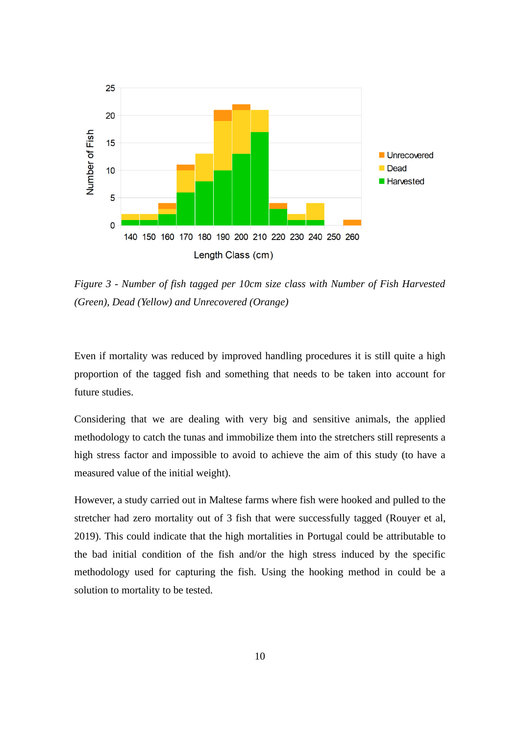

*Figure 3 - Number of fish tagged per 10cm size class with Number of Fish Harvested (Green), Dead (Yellow) and Unrecovered (Orange)*

Even if mortality was reduced by improved handling procedures it is still quite a high proportion of the tagged fish and something that needs to be taken into account for future studies.

Considering that we are dealing with very big and sensitive animals, the applied methodology to catch the tunas and immobilize them into the stretchers still represents a high stress factor and impossible to avoid to achieve the aim of this study (to have a measured value of the initial weight).

However, a study carried out in Maltese farms where fish were hooked and pulled to the stretcher had zero mortality out of 3 fish that were successfully tagged (Rouyer et al, 2019). This could indicate that the high mortalities in Portugal could be attributable to the bad initial condition of the fish and/or the high stress induced by the specific methodology used for capturing the fish. Using the hooking method in could be a solution to mortality to be tested.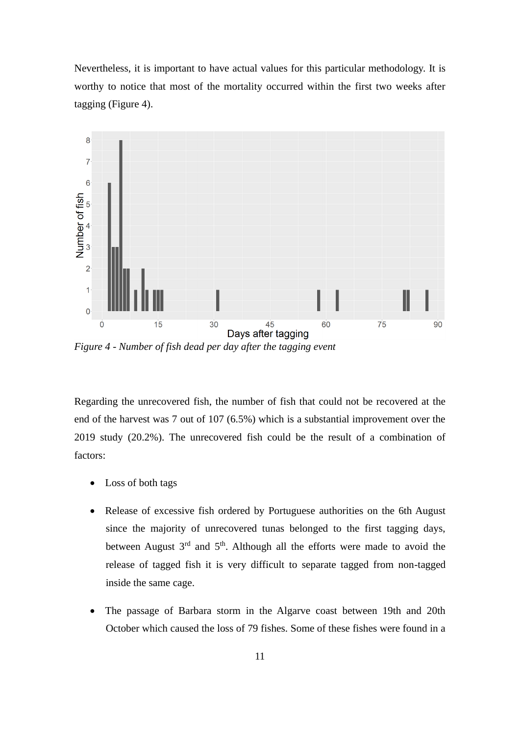Nevertheless, it is important to have actual values for this particular methodology. It is worthy to notice that most of the mortality occurred within the first two weeks after tagging (Figure 4).



*Figure 4 - Number of fish dead per day after the tagging event*

Regarding the unrecovered fish, the number of fish that could not be recovered at the end of the harvest was 7 out of 107 (6.5%) which is a substantial improvement over the 2019 study (20.2%). The unrecovered fish could be the result of a combination of factors:

- Loss of both tags
- Release of excessive fish ordered by Portuguese authorities on the 6th August since the majority of unrecovered tunas belonged to the first tagging days, between August  $3<sup>rd</sup>$  and  $5<sup>th</sup>$ . Although all the efforts were made to avoid the release of tagged fish it is very difficult to separate tagged from non-tagged inside the same cage.
- The passage of Barbara storm in the Algarve coast between 19th and 20th October which caused the loss of 79 fishes. Some of these fishes were found in a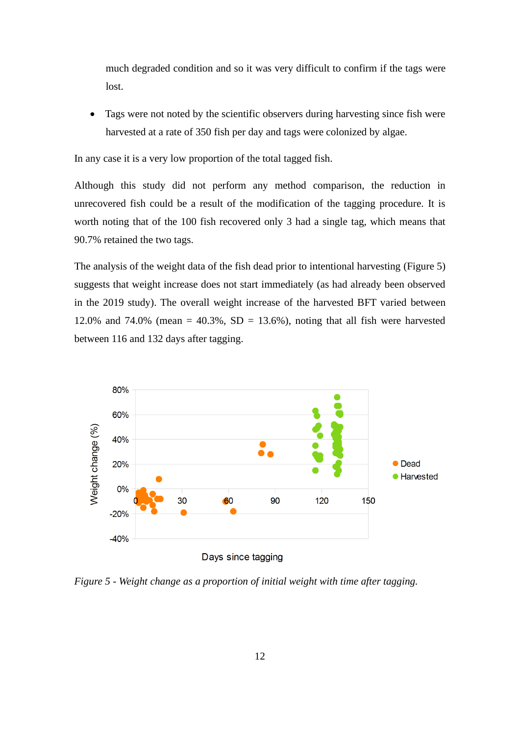much degraded condition and so it was very difficult to confirm if the tags were lost.

Tags were not noted by the scientific observers during harvesting since fish were harvested at a rate of 350 fish per day and tags were colonized by algae.

In any case it is a very low proportion of the total tagged fish.

Although this study did not perform any method comparison, the reduction in unrecovered fish could be a result of the modification of the tagging procedure. It is worth noting that of the 100 fish recovered only 3 had a single tag, which means that 90.7% retained the two tags.

The analysis of the weight data of the fish dead prior to intentional harvesting (Figure 5) suggests that weight increase does not start immediately (as had already been observed in the 2019 study). The overall weight increase of the harvested BFT varied between 12.0% and 74.0% (mean  $= 40.3\%$ , SD  $= 13.6\%$ ), noting that all fish were harvested between 116 and 132 days after tagging.



*Figure 5 - Weight change as a proportion of initial weight with time after tagging.*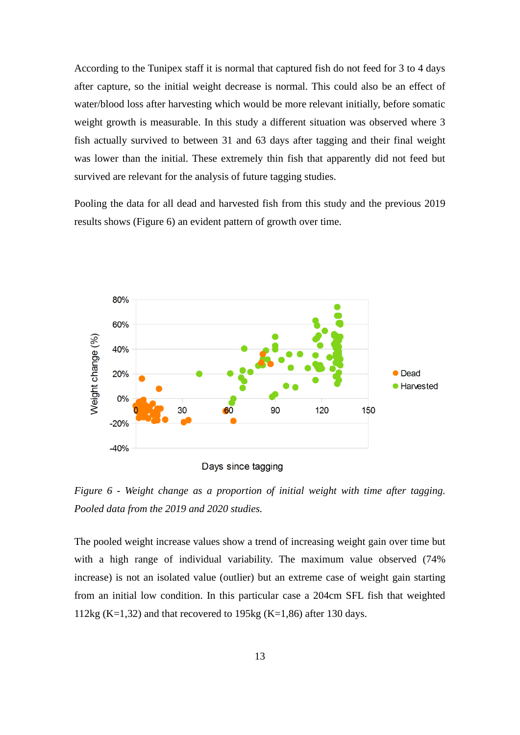According to the Tunipex staff it is normal that captured fish do not feed for 3 to 4 days after capture, so the initial weight decrease is normal. This could also be an effect of water/blood loss after harvesting which would be more relevant initially, before somatic weight growth is measurable. In this study a different situation was observed where 3 fish actually survived to between 31 and 63 days after tagging and their final weight was lower than the initial. These extremely thin fish that apparently did not feed but survived are relevant for the analysis of future tagging studies.

Pooling the data for all dead and harvested fish from this study and the previous 2019 results shows (Figure 6) an evident pattern of growth over time.



Days since tagging

*Figure 6 - Weight change as a proportion of initial weight with time after tagging. Pooled data from the 2019 and 2020 studies.*

The pooled weight increase values show a trend of increasing weight gain over time but with a high range of individual variability. The maximum value observed (74% increase) is not an isolated value (outlier) but an extreme case of weight gain starting from an initial low condition. In this particular case a 204cm SFL fish that weighted 112kg (K=1,32) and that recovered to 195kg (K=1,86) after 130 days.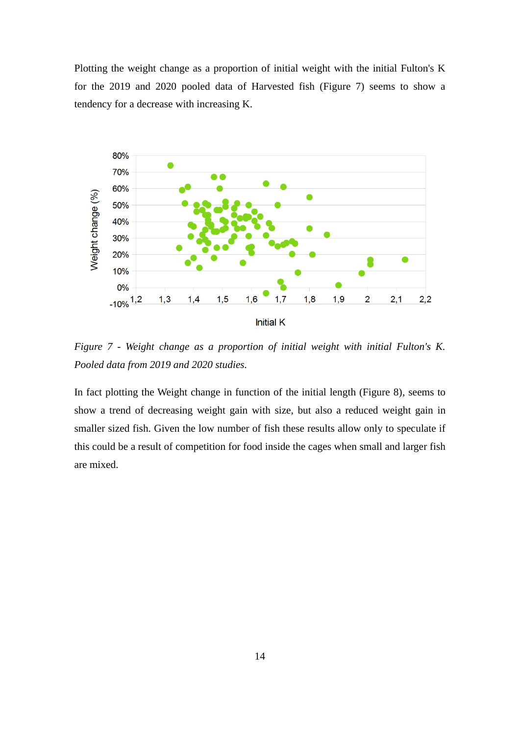Plotting the weight change as a proportion of initial weight with the initial Fulton's K for the 2019 and 2020 pooled data of Harvested fish (Figure 7) seems to show a tendency for a decrease with increasing K.



*Figure 7 - Weight change as a proportion of initial weight with initial Fulton's K. Pooled data from 2019 and 2020 studies.*

In fact plotting the Weight change in function of the initial length (Figure 8), seems to show a trend of decreasing weight gain with size, but also a reduced weight gain in smaller sized fish. Given the low number of fish these results allow only to speculate if this could be a result of competition for food inside the cages when small and larger fish are mixed.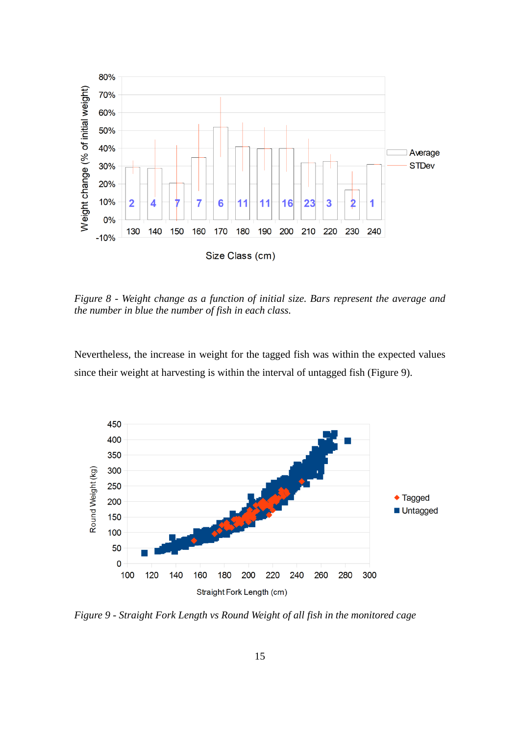

*Figure 8 - Weight change as a function of initial size. Bars represent the average and the number in blue the number of fish in each class.*

Nevertheless, the increase in weight for the tagged fish was within the expected values since their weight at harvesting is within the interval of untagged fish (Figure 9).



*Figure 9 - Straight Fork Length vs Round Weight of all fish in the monitored cage*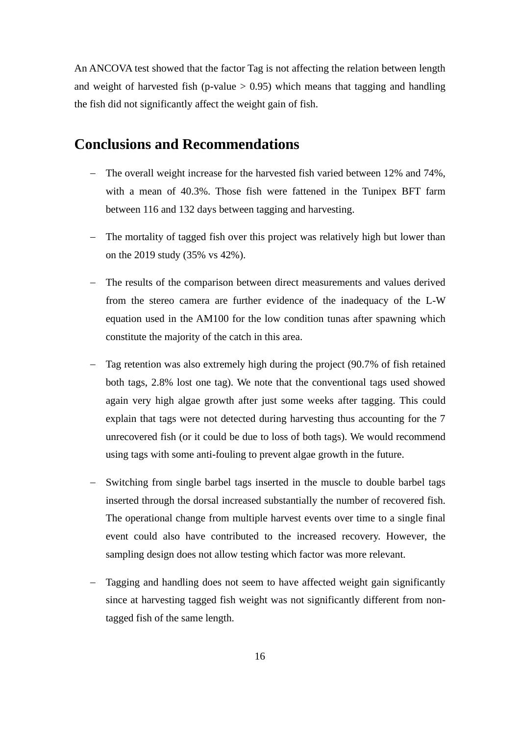An ANCOVA test showed that the factor Tag is not affecting the relation between length and weight of harvested fish (p-value  $> 0.95$ ) which means that tagging and handling the fish did not significantly affect the weight gain of fish.

#### **Conclusions and Recommendations**

- − The overall weight increase for the harvested fish varied between 12% and 74%, with a mean of 40.3%. Those fish were fattened in the Tunipex BFT farm between 116 and 132 days between tagging and harvesting.
- − The mortality of tagged fish over this project was relatively high but lower than on the 2019 study (35% vs 42%).
- − The results of the comparison between direct measurements and values derived from the stereo camera are further evidence of the inadequacy of the L-W equation used in the AM100 for the low condition tunas after spawning which constitute the majority of the catch in this area.
- − Tag retention was also extremely high during the project (90.7% of fish retained both tags, 2.8% lost one tag). We note that the conventional tags used showed again very high algae growth after just some weeks after tagging. This could explain that tags were not detected during harvesting thus accounting for the 7 unrecovered fish (or it could be due to loss of both tags). We would recommend using tags with some anti-fouling to prevent algae growth in the future.
- − Switching from single barbel tags inserted in the muscle to double barbel tags inserted through the dorsal increased substantially the number of recovered fish. The operational change from multiple harvest events over time to a single final event could also have contributed to the increased recovery. However, the sampling design does not allow testing which factor was more relevant.
- − Tagging and handling does not seem to have affected weight gain significantly since at harvesting tagged fish weight was not significantly different from nontagged fish of the same length.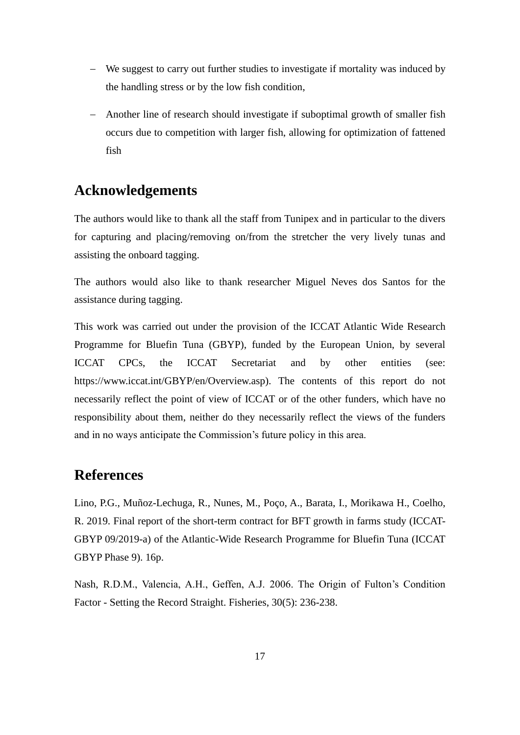- − We suggest to carry out further studies to investigate if mortality was induced by the handling stress or by the low fish condition,
- − Another line of research should investigate if suboptimal growth of smaller fish occurs due to competition with larger fish, allowing for optimization of fattened fish

### **Acknowledgements**

The authors would like to thank all the staff from Tunipex and in particular to the divers for capturing and placing/removing on/from the stretcher the very lively tunas and assisting the onboard tagging.

The authors would also like to thank researcher Miguel Neves dos Santos for the assistance during tagging.

This work was carried out under the provision of the ICCAT Atlantic Wide Research Programme for Bluefin Tuna (GBYP), funded by the European Union, by several ICCAT CPCs, the ICCAT Secretariat and by other entities (see: https://www.iccat.int/GBYP/en/Overview.asp). The contents of this report do not necessarily reflect the point of view of ICCAT or of the other funders, which have no responsibility about them, neither do they necessarily reflect the views of the funders and in no ways anticipate the Commission's future policy in this area.

# **References**

Lino, P.G., Muñoz-Lechuga, R., Nunes, M., Poço, A., Barata, I., Morikawa H., Coelho, R. 2019. Final report of the short-term contract for BFT growth in farms study (ICCAT-GBYP 09/2019-a) of the Atlantic-Wide Research Programme for Bluefin Tuna (ICCAT GBYP Phase 9). 16p.

Nash, R.D.M., Valencia, A.H., Geffen, A.J. 2006. The Origin of Fulton's Condition Factor - Setting the Record Straight. Fisheries, 30(5): 236-238.